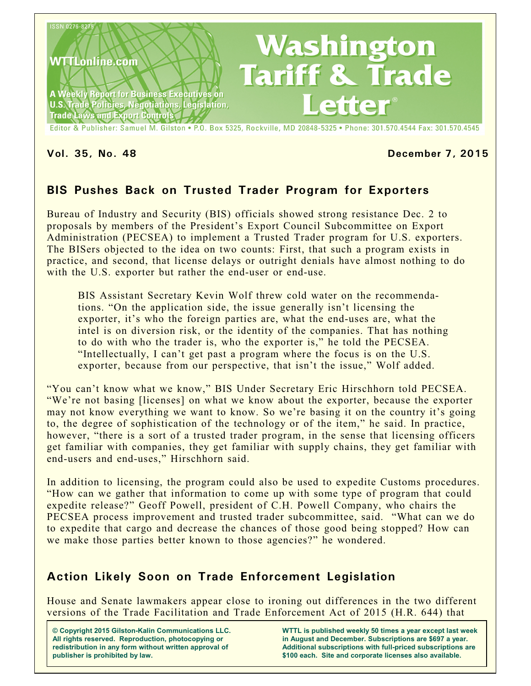

### **Vol. 35, No. 48 December 7, 2015**

# **BIS Pushes Back on Trusted Trader Program for Exporters**

Bureau of Industry and Security (BIS) officials showed strong resistance Dec. 2 to proposals by members of the President's Export Council Subcommittee on Export Administration (PECSEA) to implement a Trusted Trader program for U.S. exporters. The BISers objected to the idea on two counts: First, that such a program exists in practice, and second, that license delays or outright denials have almost nothing to do with the U.S. exporter but rather the end-user or end-use.

BIS Assistant Secretary Kevin Wolf threw cold water on the recommendations. "On the application side, the issue generally isn't licensing the exporter, it's who the foreign parties are, what the end-uses are, what the intel is on diversion risk, or the identity of the companies. That has nothing to do with who the trader is, who the exporter is," he told the PECSEA. "Intellectually, I can't get past a program where the focus is on the U.S. exporter, because from our perspective, that isn't the issue," Wolf added.

"You can't know what we know," BIS Under Secretary Eric Hirschhorn told PECSEA. "We're not basing [licenses] on what we know about the exporter, because the exporter may not know everything we want to know. So we're basing it on the country it's going to, the degree of sophistication of the technology or of the item," he said. In practice, however, "there is a sort of a trusted trader program, in the sense that licensing officers get familiar with companies, they get familiar with supply chains, they get familiar with end-users and end-uses," Hirschhorn said.

In addition to licensing, the program could also be used to expedite Customs procedures. "How can we gather that information to come up with some type of program that could expedite release?" Geoff Powell, president of C.H. Powell Company, who chairs the PECSEA process improvement and trusted trader subcommittee, said. "What can we do to expedite that cargo and decrease the chances of those good being stopped? How can we make those parties better known to those agencies?" he wondered.

## **Action Likely Soon on Trade Enforcement Legislation**

House and Senate lawmakers appear close to ironing out differences in the two different versions of the Trade Facilitation and Trade Enforcement Act of 2015 (H.R. 644) that

**© Copyright 2015 Gilston-Kalin Communications LLC. All rights reserved. Reproduction, photocopying or redistribution in any form without written approval of publisher is prohibited by law.** 

**WTTL is published weekly 50 times a year except last week in August and December. Subscriptions are \$697 a year. Additional subscriptions with full-priced subscriptions are \$100 each. Site and corporate licenses also available.**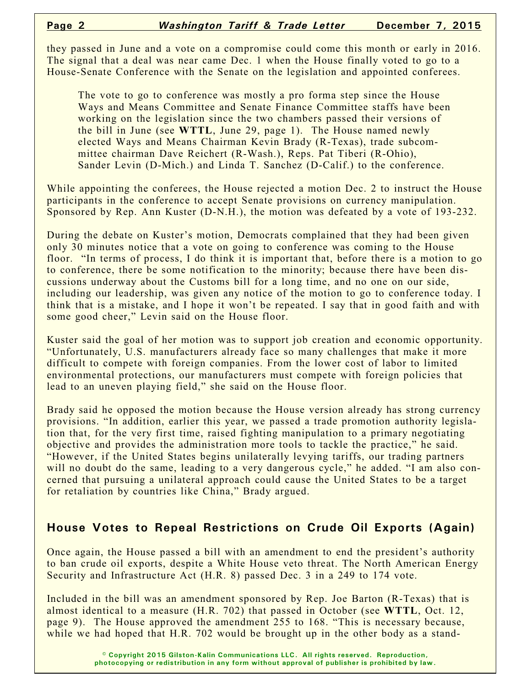they passed in June and a vote on a compromise could come this month or early in 2016. The signal that a deal was near came Dec. 1 when the House finally voted to go to a House-Senate Conference with the Senate on the legislation and appointed conferees.

The vote to go to conference was mostly a pro forma step since the House Ways and Means Committee and Senate Finance Committee staffs have been working on the legislation since the two chambers passed their versions of the bill in June (see **WTTL**, June 29, page 1). The House named newly elected Ways and Means Chairman Kevin Brady (R-Texas), trade subcommittee chairman Dave Reichert (R-Wash.), Reps. Pat Tiberi (R-Ohio), Sander Levin (D-Mich.) and Linda T. Sanchez (D-Calif.) to the conference.

While appointing the conferees, the House rejected a motion Dec. 2 to instruct the House participants in the conference to accept Senate provisions on currency manipulation. Sponsored by Rep. Ann Kuster (D-N.H.), the motion was defeated by a vote of 193-232.

During the debate on Kuster's motion, Democrats complained that they had been given only 30 minutes notice that a vote on going to conference was coming to the House floor. "In terms of process, I do think it is important that, before there is a motion to go to conference, there be some notification to the minority; because there have been discussions underway about the Customs bill for a long time, and no one on our side, including our leadership, was given any notice of the motion to go to conference today. I think that is a mistake, and I hope it won't be repeated. I say that in good faith and with some good cheer," Levin said on the House floor.

Kuster said the goal of her motion was to support job creation and economic opportunity. "Unfortunately, U.S. manufacturers already face so many challenges that make it more difficult to compete with foreign companies. From the lower cost of labor to limited environmental protections, our manufacturers must compete with foreign policies that lead to an uneven playing field," she said on the House floor.

Brady said he opposed the motion because the House version already has strong currency provisions. "In addition, earlier this year, we passed a trade promotion authority legislation that, for the very first time, raised fighting manipulation to a primary negotiating objective and provides the administration more tools to tackle the practice," he said. "However, if the United States begins unilaterally levying tariffs, our trading partners will no doubt do the same, leading to a very dangerous cycle," he added. "I am also concerned that pursuing a unilateral approach could cause the United States to be a target for retaliation by countries like China," Brady argued.

### **House Votes to Repeal Restrictions on Crude Oil Exports (Again)**

Once again, the House passed a bill with an amendment to end the president's authority to ban crude oil exports, despite a White House veto threat. The North American Energy Security and Infrastructure Act (H.R. 8) passed Dec. 3 in a 249 to 174 vote.

Included in the bill was an amendment sponsored by Rep. Joe Barton (R-Texas) that is almost identical to a measure (H.R. 702) that passed in October (see **WTTL**, Oct. 12, page 9). The House approved the amendment 255 to 168. "This is necessary because, while we had hoped that H.R. 702 would be brought up in the other body as a stand-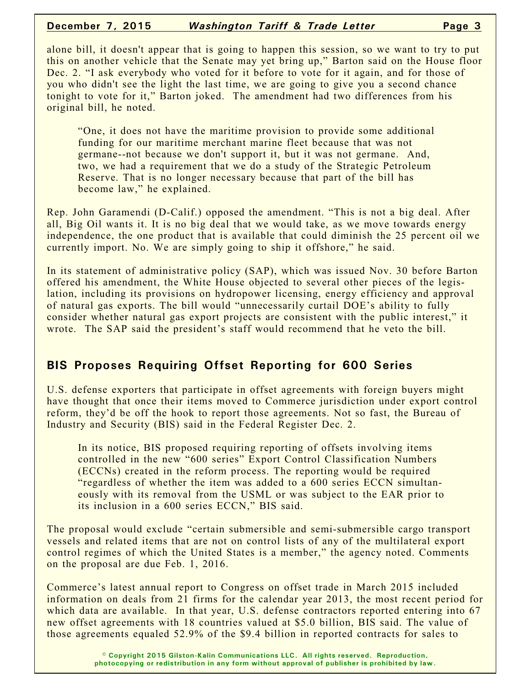#### **December 7, 2015** *Washington Tariff & Trade Letter* **Page 3**

alone bill, it doesn't appear that is going to happen this session, so we want to try to put this on another vehicle that the Senate may yet bring up," Barton said on the House floor Dec. 2. "I ask everybody who voted for it before to vote for it again, and for those of you who didn't see the light the last time, we are going to give you a second chance tonight to vote for it," Barton joked. The amendment had two differences from his original bill, he noted.

"One, it does not have the maritime provision to provide some additional funding for our maritime merchant marine fleet because that was not germane--not because we don't support it, but it was not germane. And, two, we had a requirement that we do a study of the Strategic Petroleum Reserve. That is no longer necessary because that part of the bill has become law," he explained.

Rep. John Garamendi (D-Calif.) opposed the amendment. "This is not a big deal. After all, Big Oil wants it. It is no big deal that we would take, as we move towards energy independence, the one product that is available that could diminish the 25 percent oil we currently import. No. We are simply going to ship it offshore," he said.

In its statement of administrative policy (SAP), which was issued Nov. 30 before Barton offered his amendment, the White House objected to several other pieces of the legislation, including its provisions on hydropower licensing, energy efficiency and approval of natural gas exports. The bill would "unnecessarily curtail DOE's ability to fully consider whether natural gas export projects are consistent with the public interest," it wrote. The SAP said the president's staff would recommend that he veto the bill.

## **BIS Proposes Requiring Offset Reporting for 600 Series**

U.S. defense exporters that participate in offset agreements with foreign buyers might have thought that once their items moved to Commerce jurisdiction under export control reform, they'd be off the hook to report those agreements. Not so fast, the Bureau of Industry and Security (BIS) said in the Federal Register Dec. 2.

In its notice, BIS proposed requiring reporting of offsets involving items controlled in the new "600 series" Export Control Classification Numbers (ECCNs) created in the reform process. The reporting would be required "regardless of whether the item was added to a 600 series ECCN simultaneously with its removal from the USML or was subject to the EAR prior to its inclusion in a 600 series ECCN," BIS said.

The proposal would exclude "certain submersible and semi-submersible cargo transport vessels and related items that are not on control lists of any of the multilateral export control regimes of which the United States is a member," the agency noted. Comments on the proposal are due Feb. 1, 2016.

Commerce's latest annual report to Congress on offset trade in March 2015 included information on deals from 21 firms for the calendar year 2013, the most recent period for which data are available. In that year, U.S. defense contractors reported entering into 67 new offset agreements with 18 countries valued at \$5.0 billion, BIS said. The value of those agreements equaled 52.9% of the \$9.4 billion in reported contracts for sales to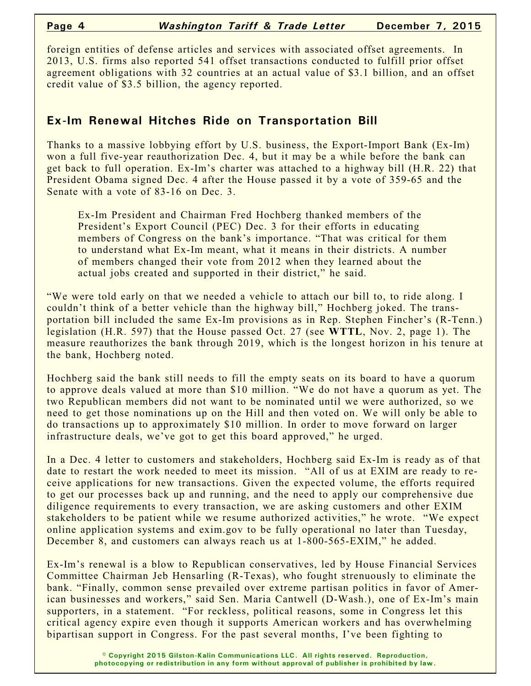foreign entities of defense articles and services with associated offset agreements. In 2013, U.S. firms also reported 541 offset transactions conducted to fulfill prior offset agreement obligations with 32 countries at an actual value of \$3.1 billion, and an offset credit value of \$3.5 billion, the agency reported.

# **Ex-Im Renewal Hitches Ride on Transportation Bill**

Thanks to a massive lobbying effort by U.S. business, the Export-Import Bank (Ex-Im) won a full five-year reauthorization Dec. 4, but it may be a while before the bank can get back to full operation. Ex-Im's charter was attached to a highway bill (H.R. 22) that President Obama signed Dec. 4 after the House passed it by a vote of 359-65 and the Senate with a vote of 83-16 on Dec. 3.

Ex-Im President and Chairman Fred Hochberg thanked members of the President's Export Council (PEC) Dec. 3 for their efforts in educating members of Congress on the bank's importance. "That was critical for them to understand what Ex-Im meant, what it means in their districts. A number of members changed their vote from 2012 when they learned about the actual jobs created and supported in their district," he said.

"We were told early on that we needed a vehicle to attach our bill to, to ride along. I couldn't think of a better vehicle than the highway bill," Hochberg joked. The transportation bill included the same Ex-Im provisions as in Rep. Stephen Fincher's (R-Tenn.) legislation (H.R. 597) that the House passed Oct. 27 (see **WTTL**, Nov. 2, page 1). The measure reauthorizes the bank through 2019, which is the longest horizon in his tenure at the bank, Hochberg noted.

Hochberg said the bank still needs to fill the empty seats on its board to have a quorum to approve deals valued at more than \$10 million. "We do not have a quorum as yet. The two Republican members did not want to be nominated until we were authorized, so we need to get those nominations up on the Hill and then voted on. We will only be able to do transactions up to approximately \$10 million. In order to move forward on larger infrastructure deals, we've got to get this board approved," he urged.

In a Dec. 4 letter to customers and stakeholders, Hochberg said Ex-Im is ready as of that date to restart the work needed to meet its mission. "All of us at EXIM are ready to receive applications for new transactions. Given the expected volume, the efforts required to get our processes back up and running, and the need to apply our comprehensive due diligence requirements to every transaction, we are asking customers and other EXIM stakeholders to be patient while we resume authorized activities," he wrote. "We expect online application systems and exim.gov to be fully operational no later than Tuesday, December 8, and customers can always reach us at 1-800-565-EXIM," he added.

Ex-Im's renewal is a blow to Republican conservatives, led by House Financial Services Committee Chairman Jeb Hensarling (R-Texas), who fought strenuously to eliminate the bank. "Finally, common sense prevailed over extreme partisan politics in favor of American businesses and workers," said Sen. Maria Cantwell (D-Wash.), one of Ex-Im's main supporters, in a statement. "For reckless, political reasons, some in Congress let this critical agency expire even though it supports American workers and has overwhelming bipartisan support in Congress. For the past several months, I've been fighting to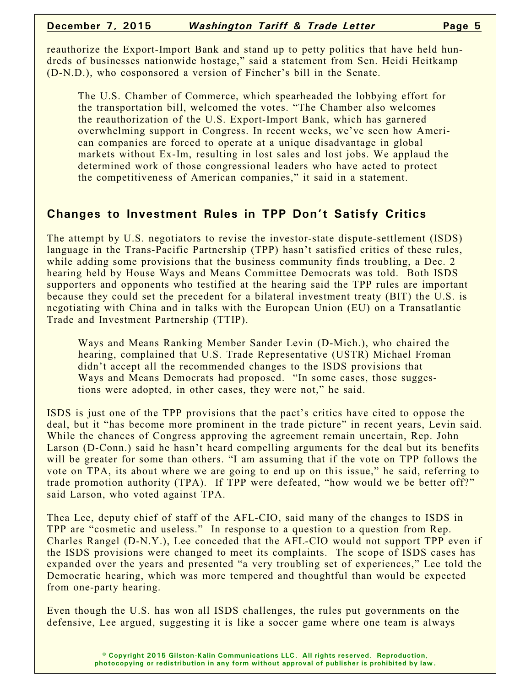#### **December 7, 2015** *Washington Tariff & Trade Letter* **Page 5**

reauthorize the Export-Import Bank and stand up to petty politics that have held hundreds of businesses nationwide hostage," said a statement from Sen. Heidi Heitkamp (D-N.D.), who cosponsored a version of Fincher's bill in the Senate.

The U.S. Chamber of Commerce, which spearheaded the lobbying effort for the transportation bill, welcomed the votes. "The Chamber also welcomes the reauthorization of the U.S. Export-Import Bank, which has garnered overwhelming support in Congress. In recent weeks, we've seen how American companies are forced to operate at a unique disadvantage in global markets without Ex-Im, resulting in lost sales and lost jobs. We applaud the determined work of those congressional leaders who have acted to protect the competitiveness of American companies," it said in a statement.

### **Changes to Investment Rules in TPP Don't Satisfy Critics**

The attempt by U.S. negotiators to revise the investor-state dispute-settlement (ISDS) language in the Trans-Pacific Partnership (TPP) hasn't satisfied critics of these rules, while adding some provisions that the business community finds troubling, a Dec. 2 hearing held by House Ways and Means Committee Democrats was told. Both ISDS supporters and opponents who testified at the hearing said the TPP rules are important because they could set the precedent for a bilateral investment treaty (BIT) the U.S. is negotiating with China and in talks with the European Union (EU) on a Transatlantic Trade and Investment Partnership (TTIP).

Ways and Means Ranking Member Sander Levin (D-Mich.), who chaired the hearing, complained that U.S. Trade Representative (USTR) Michael Froman didn't accept all the recommended changes to the ISDS provisions that Ways and Means Democrats had proposed. "In some cases, those suggestions were adopted, in other cases, they were not," he said.

ISDS is just one of the TPP provisions that the pact's critics have cited to oppose the deal, but it "has become more prominent in the trade picture" in recent years, Levin said. While the chances of Congress approving the agreement remain uncertain, Rep. John Larson (D-Conn.) said he hasn't heard compelling arguments for the deal but its benefits will be greater for some than others. "I am assuming that if the vote on TPP follows the vote on TPA, its about where we are going to end up on this issue," he said, referring to trade promotion authority (TPA). If TPP were defeated, "how would we be better off?" said Larson, who voted against TPA.

Thea Lee, deputy chief of staff of the AFL-CIO, said many of the changes to ISDS in TPP are "cosmetic and useless." In response to a question to a question from Rep. Charles Rangel (D-N.Y.), Lee conceded that the AFL-CIO would not support TPP even if the ISDS provisions were changed to meet its complaints. The scope of ISDS cases has expanded over the years and presented "a very troubling set of experiences," Lee told the Democratic hearing, which was more tempered and thoughtful than would be expected from one-party hearing.

Even though the U.S. has won all ISDS challenges, the rules put governments on the defensive, Lee argued, suggesting it is like a soccer game where one team is always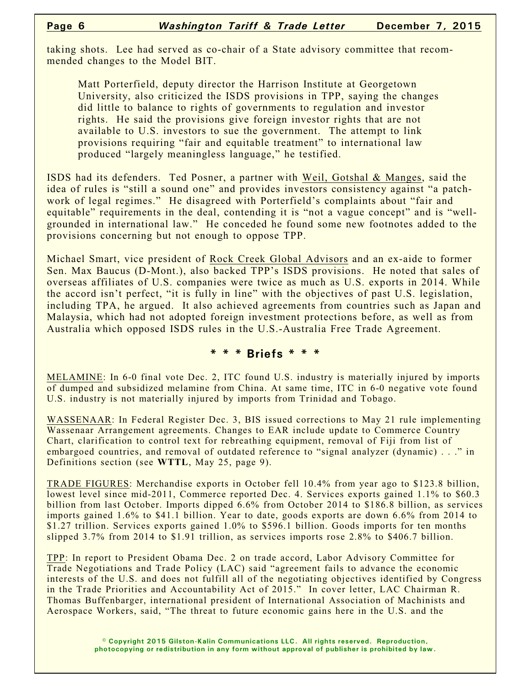taking shots. Lee had served as co-chair of a State advisory committee that recommended changes to the Model BIT.

Matt Porterfield, deputy director the Harrison Institute at Georgetown University, also criticized the ISDS provisions in TPP, saying the changes did little to balance to rights of governments to regulation and investor rights. He said the provisions give foreign investor rights that are not available to U.S. investors to sue the government. The attempt to link provisions requiring "fair and equitable treatment" to international law produced "largely meaningless language," he testified.

ISDS had its defenders. Ted Posner, a partner with Weil, Gotshal & Manges, said the idea of rules is "still a sound one" and provides investors consistency against "a patchwork of legal regimes." He disagreed with Porterfield's complaints about "fair and equitable" requirements in the deal, contending it is "not a vague concept" and is "wellgrounded in international law." He conceded he found some new footnotes added to the provisions concerning but not enough to oppose TPP.

Michael Smart, vice president of Rock Creek Global Advisors and an ex-aide to former Sen. Max Baucus (D-Mont.), also backed TPP's ISDS provisions. He noted that sales of overseas affiliates of U.S. companies were twice as much as U.S. exports in 2014. While the accord isn't perfect, "it is fully in line" with the objectives of past U.S. legislation, including TPA, he argued. It also achieved agreements from countries such as Japan and Malaysia, which had not adopted foreign investment protections before, as well as from Australia which opposed ISDS rules in the U.S.-Australia Free Trade Agreement.

#### **\* \* \* Briefs \* \* \***

MELAMINE: In 6-0 final vote Dec. 2, ITC found U.S. industry is materially injured by imports of dumped and subsidized melamine from China. At same time, ITC in 6-0 negative vote found U.S. industry is not materially injured by imports from Trinidad and Tobago.

WASSENAAR: In Federal Register Dec. 3, BIS issued corrections to May 21 rule implementing Wassenaar Arrangement agreements. Changes to EAR include update to Commerce Country Chart, clarification to control text for rebreathing equipment, removal of Fiji from list of embargoed countries, and removal of outdated reference to "signal analyzer (dynamic) . . ." in Definitions section (see **WTTL**, May 25, page 9).

TRADE FIGURES: Merchandise exports in October fell 10.4% from year ago to \$123.8 billion, lowest level since mid-2011, Commerce reported Dec. 4. Services exports gained 1.1% to \$60.3 billion from last October. Imports dipped 6.6% from October 2014 to \$186.8 billion, as services imports gained 1.6% to \$41.1 billion. Year to date, goods exports are down 6.6% from 2014 to \$1.27 trillion. Services exports gained 1.0% to \$596.1 billion. Goods imports for ten months slipped 3.7% from 2014 to \$1.91 trillion, as services imports rose 2.8% to \$406.7 billion.

TPP: In report to President Obama Dec. 2 on trade accord, Labor Advisory Committee for Trade Negotiations and Trade Policy (LAC) said "agreement fails to advance the economic interests of the U.S. and does not fulfill all of the negotiating objectives identified by Congress in the Trade Priorities and Accountability Act of 2015." In cover letter, LAC Chairman R. Thomas Buffenbarger, international president of International Association of Machinists and Aerospace Workers, said, "The threat to future economic gains here in the U.S. and the